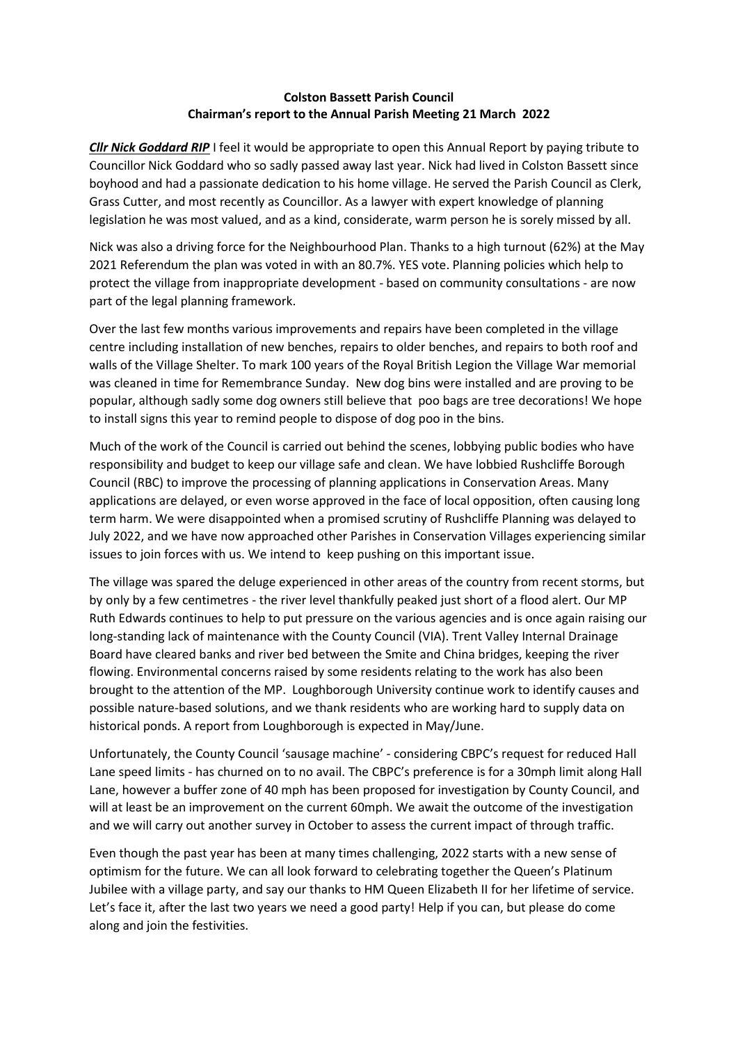## **Colston Bassett Parish Council Chairman's report to the Annual Parish Meeting 21 March 2022**

*Cllr Nick Goddard RIP* I feel it would be appropriate to open this Annual Report by paying tribute to Councillor Nick Goddard who so sadly passed away last year. Nick had lived in Colston Bassett since boyhood and had a passionate dedication to his home village. He served the Parish Council as Clerk, Grass Cutter, and most recently as Councillor. As a lawyer with expert knowledge of planning legislation he was most valued, and as a kind, considerate, warm person he is sorely missed by all.

Nick was also a driving force for the Neighbourhood Plan. Thanks to a high turnout (62%) at the May 2021 Referendum the plan was voted in with an 80.7%. YES vote. Planning policies which help to protect the village from inappropriate development - based on community consultations - are now part of the legal planning framework.

Over the last few months various improvements and repairs have been completed in the village centre including installation of new benches, repairs to older benches, and repairs to both roof and walls of the Village Shelter. To mark 100 years of the Royal British Legion the Village War memorial was cleaned in time for Remembrance Sunday. New dog bins were installed and are proving to be popular, although sadly some dog owners still believe that poo bags are tree decorations! We hope to install signs this year to remind people to dispose of dog poo in the bins.

Much of the work of the Council is carried out behind the scenes, lobbying public bodies who have responsibility and budget to keep our village safe and clean. We have lobbied Rushcliffe Borough Council (RBC) to improve the processing of planning applications in Conservation Areas. Many applications are delayed, or even worse approved in the face of local opposition, often causing long term harm. We were disappointed when a promised scrutiny of Rushcliffe Planning was delayed to July 2022, and we have now approached other Parishes in Conservation Villages experiencing similar issues to join forces with us. We intend to keep pushing on this important issue.

The village was spared the deluge experienced in other areas of the country from recent storms, but by only by a few centimetres - the river level thankfully peaked just short of a flood alert. Our MP Ruth Edwards continues to help to put pressure on the various agencies and is once again raising our long-standing lack of maintenance with the County Council (VIA). Trent Valley Internal Drainage Board have cleared banks and river bed between the Smite and China bridges, keeping the river flowing. Environmental concerns raised by some residents relating to the work has also been brought to the attention of the MP. Loughborough University continue work to identify causes and possible nature-based solutions, and we thank residents who are working hard to supply data on historical ponds. A report from Loughborough is expected in May/June.

Unfortunately, the County Council 'sausage machine' - considering CBPC's request for reduced Hall Lane speed limits - has churned on to no avail. The CBPC's preference is for a 30mph limit along Hall Lane, however a buffer zone of 40 mph has been proposed for investigation by County Council, and will at least be an improvement on the current 60mph. We await the outcome of the investigation and we will carry out another survey in October to assess the current impact of through traffic.

Even though the past year has been at many times challenging, 2022 starts with a new sense of optimism for the future. We can all look forward to celebrating together the Queen's Platinum Jubilee with a village party, and say our thanks to HM Queen Elizabeth II for her lifetime of service. Let's face it, after the last two years we need a good party! Help if you can, but please do come along and join the festivities.